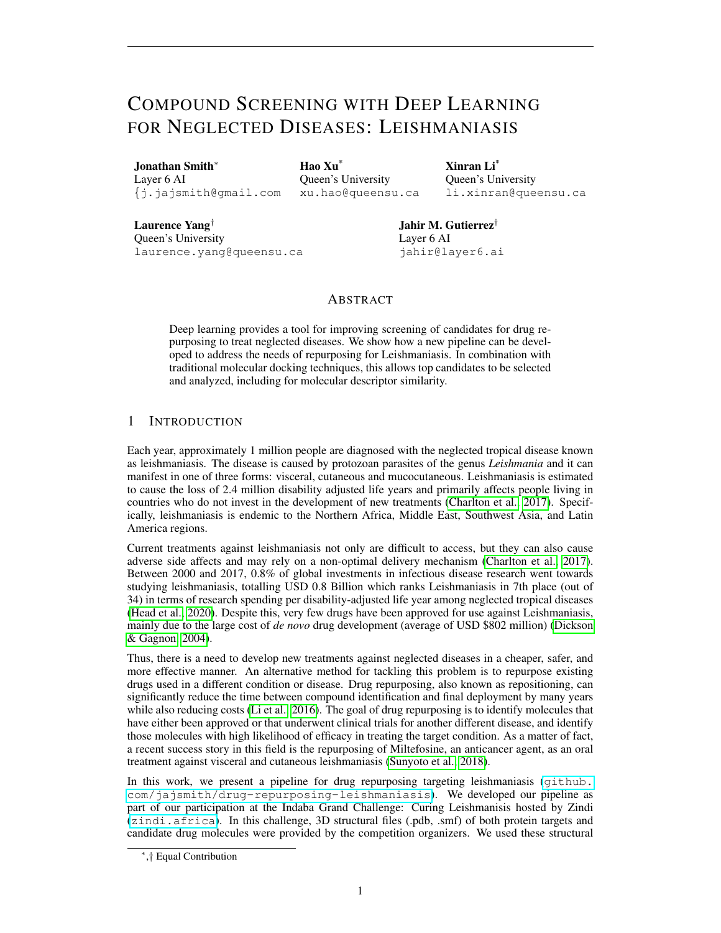# COMPOUND SCREENING WITH DEEP LEARNING FOR NEGLECTED DISEASES: LEISHMANIASIS

Jonathan Smith<sup>∗</sup> Layer 6 AI {j.jajsmith@gmail.com

Hao Xu\* Queen's University xu.hao@queensu.ca Xinran Li\* Queen's University li.xinran@queensu.ca

Laurence Yang† Queen's University laurence.yang@queensu.ca Jahir M. Gutierrez† Layer 6 AI jahir@layer6.ai

## ABSTRACT

Deep learning provides a tool for improving screening of candidates for drug repurposing to treat neglected diseases. We show how a new pipeline can be developed to address the needs of repurposing for Leishmaniasis. In combination with traditional molecular docking techniques, this allows top candidates to be selected and analyzed, including for molecular descriptor similarity.

## 1 INTRODUCTION

Each year, approximately 1 million people are diagnosed with the neglected tropical disease known as leishmaniasis. The disease is caused by protozoan parasites of the genus *Leishmania* and it can manifest in one of three forms: visceral, cutaneous and mucocutaneous. Leishmaniasis is estimated to cause the loss of 2.4 million disability adjusted life years and primarily affects people living in countries who do not invest in the development of new treatments [\(Charlton et al., 2017\)](#page-6-0). Specifically, leishmaniasis is endemic to the Northern Africa, Middle East, Southwest Asia, and Latin America regions.

Current treatments against leishmaniasis not only are difficult to access, but they can also cause adverse side affects and may rely on a non-optimal delivery mechanism [\(Charlton et al., 2017\)](#page-6-0). Between 2000 and 2017, 0.8% of global investments in infectious disease research went towards studying leishmaniasis, totalling USD 0.8 Billion which ranks Leishmaniasis in 7th place (out of 34) in terms of research spending per disability-adjusted life year among neglected tropical diseases [\(Head et al., 2020\)](#page-7-0). Despite this, very few drugs have been approved for use against Leishmaniasis, mainly due to the large cost of *de novo* drug development (average of USD \$802 million) [\(Dickson](#page-6-1) [& Gagnon, 2004\)](#page-6-1).

Thus, there is a need to develop new treatments against neglected diseases in a cheaper, safer, and more effective manner. An alternative method for tackling this problem is to repurpose existing drugs used in a different condition or disease. Drug repurposing, also known as repositioning, can significantly reduce the time between compound identification and final deployment by many years while also reducing costs [\(Li et al., 2016\)](#page-7-1). The goal of drug repurposing is to identify molecules that have either been approved or that underwent clinical trials for another different disease, and identify those molecules with high likelihood of efficacy in treating the target condition. As a matter of fact, a recent success story in this field is the repurposing of Miltefosine, an anticancer agent, as an oral treatment against visceral and cutaneous leishmaniasis [\(Sunyoto et al., 2018\)](#page-7-2).

In this work, we present a pipeline for drug repurposing targeting leishmaniasis ([github.](github.com/jajsmith/drug-repurposing-leishmaniasis) [com/jajsmith/drug-repurposing-leishmaniasis](github.com/jajsmith/drug-repurposing-leishmaniasis)). We developed our pipeline as part of our participation at the Indaba Grand Challenge: Curing Leishmanisis hosted by Zindi (<zindi.africa>). In this challenge, 3D structural files (.pdb, .smf) of both protein targets and candidate drug molecules were provided by the competition organizers. We used these structural

<sup>∗</sup> ,† Equal Contribution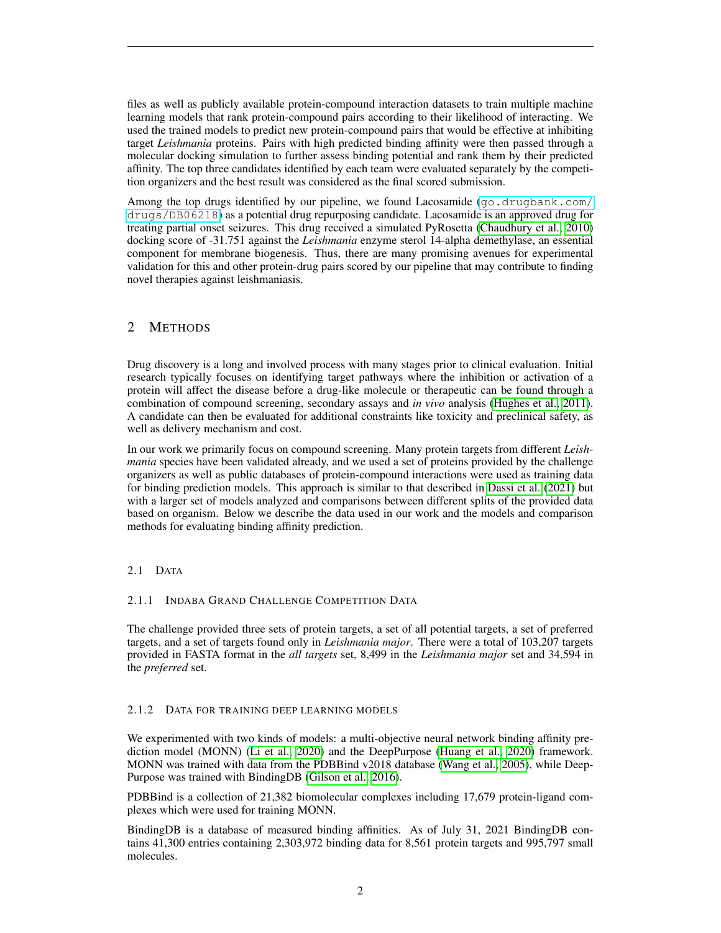files as well as publicly available protein-compound interaction datasets to train multiple machine learning models that rank protein-compound pairs according to their likelihood of interacting. We used the trained models to predict new protein-compound pairs that would be effective at inhibiting target *Leishmania* proteins. Pairs with high predicted binding affinity were then passed through a molecular docking simulation to further assess binding potential and rank them by their predicted affinity. The top three candidates identified by each team were evaluated separately by the competition organizers and the best result was considered as the final scored submission.

Among the top drugs identified by our pipeline, we found Lacosamide  $(qo.drugbank.com/$ [drugs/DB06218](go.drugbank.com/drugs/DB06218)) as a potential drug repurposing candidate. Lacosamide is an approved drug for treating partial onset seizures. This drug received a simulated PyRosetta [\(Chaudhury et al., 2010\)](#page-6-2) docking score of -31.751 against the *Leishmania* enzyme sterol 14-alpha demethylase, an essential component for membrane biogenesis. Thus, there are many promising avenues for experimental validation for this and other protein-drug pairs scored by our pipeline that may contribute to finding novel therapies against leishmaniasis.

## 2 METHODS

Drug discovery is a long and involved process with many stages prior to clinical evaluation. Initial research typically focuses on identifying target pathways where the inhibition or activation of a protein will affect the disease before a drug-like molecule or therapeutic can be found through a combination of compound screening, secondary assays and *in vivo* analysis [\(Hughes et al., 2011\)](#page-7-3). A candidate can then be evaluated for additional constraints like toxicity and preclinical safety, as well as delivery mechanism and cost.

In our work we primarily focus on compound screening. Many protein targets from different *Leishmania* species have been validated already, and we used a set of proteins provided by the challenge organizers as well as public databases of protein-compound interactions were used as training data for binding prediction models. This approach is similar to that described in [Dassi et al.](#page-6-3) [\(2021\)](#page-6-3) but with a larger set of models analyzed and comparisons between different splits of the provided data based on organism. Below we describe the data used in our work and the models and comparison methods for evaluating binding affinity prediction.

## 2.1 DATA

#### 2.1.1 INDABA GRAND CHALLENGE COMPETITION DATA

The challenge provided three sets of protein targets, a set of all potential targets, a set of preferred targets, and a set of targets found only in *Leishmania major*. There were a total of 103,207 targets provided in FASTA format in the *all targets* set, 8,499 in the *Leishmania major* set and 34,594 in the *preferred* set.

## 2.1.2 DATA FOR TRAINING DEEP LEARNING MODELS

We experimented with two kinds of models: a multi-objective neural network binding affinity prediction model (MONN) [\(Li et al., 2020\)](#page-7-4) and the DeepPurpose [\(Huang et al., 2020\)](#page-7-5) framework. MONN was trained with data from the PDBBind v2018 database [\(Wang et al., 2005\)](#page-7-6), while Deep-Purpose was trained with BindingDB [\(Gilson et al., 2016\)](#page-7-7).

PDBBind is a collection of 21,382 biomolecular complexes including 17,679 protein-ligand complexes which were used for training MONN.

BindingDB is a database of measured binding affinities. As of July 31, 2021 BindingDB contains 41,300 entries containing 2,303,972 binding data for 8,561 protein targets and 995,797 small molecules.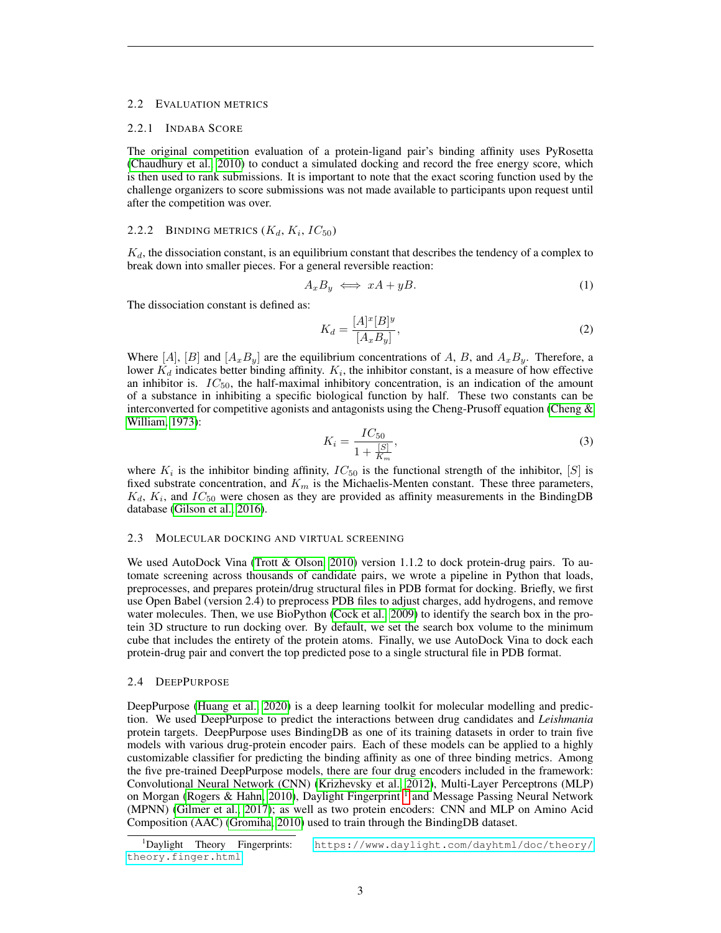#### 2.2 EVALUATION METRICS

#### 2.2.1 INDABA SCORE

The original competition evaluation of a protein-ligand pair's binding affinity uses PyRosetta [\(Chaudhury et al., 2010\)](#page-6-2) to conduct a simulated docking and record the free energy score, which is then used to rank submissions. It is important to note that the exact scoring function used by the challenge organizers to score submissions was not made available to participants upon request until after the competition was over.

#### 2.2.2 BINDING METRICS  $(K_d, K_i, IC_{50})$

 $K_d$ , the dissociation constant, is an equilibrium constant that describes the tendency of a complex to break down into smaller pieces. For a general reversible reaction:

$$
A_x B_y \iff xA + yB. \tag{1}
$$

The dissociation constant is defined as:

$$
K_d = \frac{[A]^x [B]^y}{[A_x B_y]},\tag{2}
$$

Where [A], [B] and  $[A_x B_y]$  are the equilibrium concentrations of A, B, and  $A_x B_y$ . Therefore, a lower  $K_d$  indicates better binding affinity.  $K_i$ , the inhibitor constant, is a measure of how effective an inhibitor is.  $IC_{50}$ , the half-maximal inhibitory concentration, is an indication of the amount of a substance in inhibiting a specific biological function by half. These two constants can be interconverted for competitive agonists and antagonists using the Cheng-Prusoff equation (Cheng  $\&$ [William, 1973\)](#page-6-4):

$$
K_i = \frac{IC_{50}}{1 + \frac{[S]}{K_m}},\tag{3}
$$

where  $K_i$  is the inhibitor binding affinity,  $IC_{50}$  is the functional strength of the inhibitor, [S] is fixed substrate concentration, and  $K_m$  is the Michaelis-Menten constant. These three parameters,  $K_d$ ,  $K_i$ , and  $IC_{50}$  were chosen as they are provided as affinity measurements in the BindingDB database [\(Gilson et al., 2016\)](#page-7-7).

#### 2.3 MOLECULAR DOCKING AND VIRTUAL SCREENING

We used AutoDock Vina [\(Trott & Olson, 2010\)](#page-7-8) version 1.1.2 to dock protein-drug pairs. To automate screening across thousands of candidate pairs, we wrote a pipeline in Python that loads, preprocesses, and prepares protein/drug structural files in PDB format for docking. Briefly, we first use Open Babel (version 2.4) to preprocess PDB files to adjust charges, add hydrogens, and remove water molecules. Then, we use BioPython [\(Cock et al., 2009\)](#page-6-5) to identify the search box in the protein 3D structure to run docking over. By default, we set the search box volume to the minimum cube that includes the entirety of the protein atoms. Finally, we use AutoDock Vina to dock each protein-drug pair and convert the top predicted pose to a single structural file in PDB format.

#### 2.4 DEEPPURPOSE

DeepPurpose [\(Huang et al., 2020\)](#page-7-5) is a deep learning toolkit for molecular modelling and prediction. We used DeepPurpose to predict the interactions between drug candidates and *Leishmania* protein targets. DeepPurpose uses BindingDB as one of its training datasets in order to train five models with various drug-protein encoder pairs. Each of these models can be applied to a highly customizable classifier for predicting the binding affinity as one of three binding metrics. Among the five pre-trained DeepPurpose models, there are four drug encoders included in the framework: Convolutional Neural Network (CNN) [\(Krizhevsky et al., 2012\)](#page-7-9), Multi-Layer Perceptrons (MLP) on Morgan [\(Rogers & Hahn, 2010\)](#page-7-10), Daylight Fingerprint <sup>[1](#page-2-0)</sup> and Message Passing Neural Network (MPNN) [\(Gilmer et al., 2017\)](#page-7-11); as well as two protein encoders: CNN and MLP on Amino Acid Composition (AAC) [\(Gromiha, 2010\)](#page-7-12) used to train through the BindingDB dataset.

<span id="page-2-0"></span><sup>1</sup>Daylight Theory Fingerprints: [https://www.daylight.com/dayhtml/doc/theory/]( https://www.daylight.com/dayhtml/doc/theory/theory.finger.html) [theory.finger.html]( https://www.daylight.com/dayhtml/doc/theory/theory.finger.html)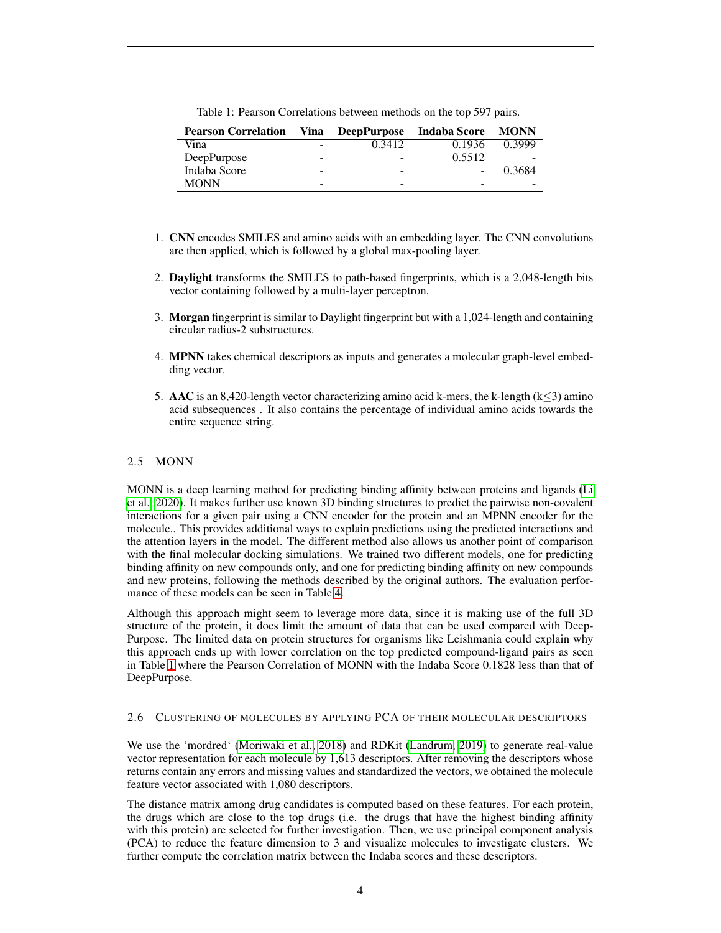<span id="page-3-0"></span>Table 1: Pearson Correlations between methods on the top 597 pairs.

| <b>Pearson Correlation</b> | Vina | <b>DeepPurpose</b> | <b>Indaba Score</b> | <b>MONN</b>              |
|----------------------------|------|--------------------|---------------------|--------------------------|
| Vina                       | -    | 0.3412             | 0.1936              | 0.3999                   |
| DeepPurpose                | -    |                    | 0.5512              | $\overline{\phantom{0}}$ |
| Indaba Score               | -    |                    |                     | 0.3684                   |
| <b>MONN</b>                | -    |                    |                     |                          |

- 1. CNN encodes SMILES and amino acids with an embedding layer. The CNN convolutions are then applied, which is followed by a global max-pooling layer.
- 2. Daylight transforms the SMILES to path-based fingerprints, which is a 2,048-length bits vector containing followed by a multi-layer perceptron.
- 3. Morgan fingerprint is similar to Daylight fingerprint but with a 1,024-length and containing circular radius-2 substructures.
- 4. MPNN takes chemical descriptors as inputs and generates a molecular graph-level embedding vector.
- 5. AAC is an 8,420-length vector characterizing amino acid k-mers, the k-length  $(k<3)$  amino acid subsequences . It also contains the percentage of individual amino acids towards the entire sequence string.

## 2.5 MONN

MONN is a deep learning method for predicting binding affinity between proteins and ligands [\(Li](#page-7-4) [et al., 2020\)](#page-7-4). It makes further use known 3D binding structures to predict the pairwise non-covalent interactions for a given pair using a CNN encoder for the protein and an MPNN encoder for the molecule.. This provides additional ways to explain predictions using the predicted interactions and the attention layers in the model. The different method also allows us another point of comparison with the final molecular docking simulations. We trained two different models, one for predicting binding affinity on new compounds only, and one for predicting binding affinity on new compounds and new proteins, following the methods described by the original authors. The evaluation performance of these models can be seen in Table [4.](#page-5-0)

Although this approach might seem to leverage more data, since it is making use of the full 3D structure of the protein, it does limit the amount of data that can be used compared with Deep-Purpose. The limited data on protein structures for organisms like Leishmania could explain why this approach ends up with lower correlation on the top predicted compound-ligand pairs as seen in Table [1](#page-3-0) where the Pearson Correlation of MONN with the Indaba Score 0.1828 less than that of DeepPurpose.

#### 2.6 CLUSTERING OF MOLECULES BY APPLYING PCA OF THEIR MOLECULAR DESCRIPTORS

We use the 'mordred' [\(Moriwaki et al., 2018\)](#page-7-13) and RDKit [\(Landrum, 2019\)](#page-7-14) to generate real-value vector representation for each molecule by 1,613 descriptors. After removing the descriptors whose returns contain any errors and missing values and standardized the vectors, we obtained the molecule feature vector associated with 1,080 descriptors.

The distance matrix among drug candidates is computed based on these features. For each protein, the drugs which are close to the top drugs (i.e. the drugs that have the highest binding affinity with this protein) are selected for further investigation. Then, we use principal component analysis (PCA) to reduce the feature dimension to 3 and visualize molecules to investigate clusters. We further compute the correlation matrix between the Indaba scores and these descriptors.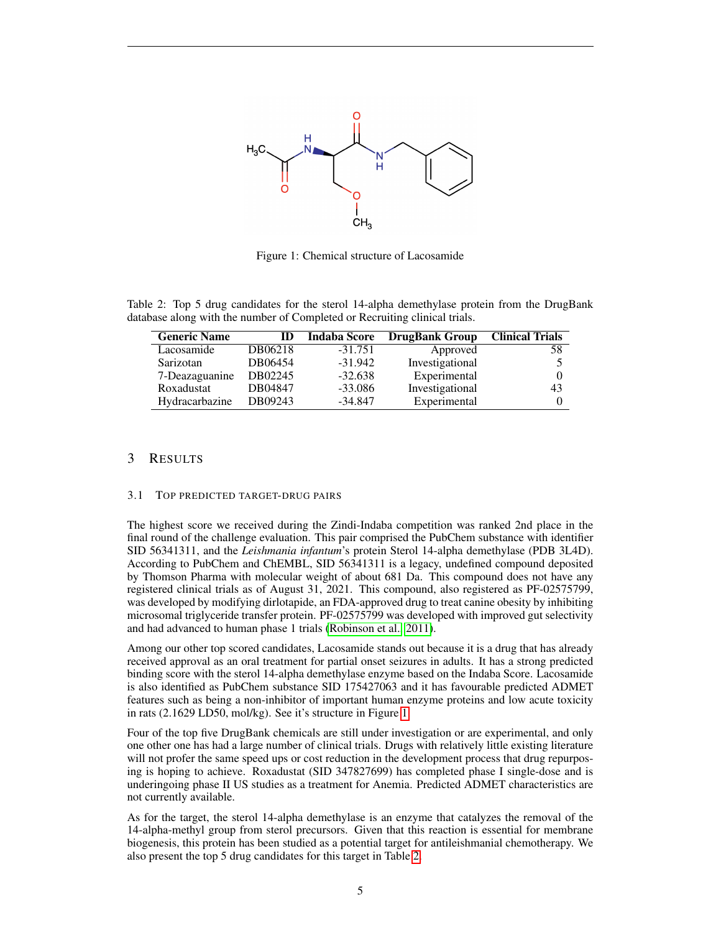

<span id="page-4-0"></span>Figure 1: Chemical structure of Lacosamide

Table 2: Top 5 drug candidates for the sterol 14-alpha demethylase protein from the DrugBank database along with the number of Completed or Recruiting clinical trials.

<span id="page-4-1"></span>

| <b>Generic Name</b> | ID      | <b>Indaba Score</b> | <b>DrugBank Group</b> | <b>Clinical Trials</b> |
|---------------------|---------|---------------------|-----------------------|------------------------|
| Lacosamide          | DB06218 | $-31.751$           | Approved              | 58                     |
| Sarizotan           | DB06454 | $-31.942$           | Investigational       |                        |
| 7-Deazaguanine      | DB02245 | $-32.638$           | Experimental          |                        |
| Roxadustat          | DB04847 | $-33.086$           | Investigational       | 43                     |
| Hydracarbazine      | DB09243 | $-34.847$           | Experimental          |                        |

## 3 RESULTS

#### 3.1 TOP PREDICTED TARGET-DRUG PAIRS

The highest score we received during the Zindi-Indaba competition was ranked 2nd place in the final round of the challenge evaluation. This pair comprised the PubChem substance with identifier SID 56341311, and the *Leishmania infantum*'s protein Sterol 14-alpha demethylase (PDB 3L4D). According to PubChem and ChEMBL, SID 56341311 is a legacy, undefined compound deposited by Thomson Pharma with molecular weight of about 681 Da. This compound does not have any registered clinical trials as of August 31, 2021. This compound, also registered as PF-02575799, was developed by modifying dirlotapide, an FDA-approved drug to treat canine obesity by inhibiting microsomal triglyceride transfer protein. PF-02575799 was developed with improved gut selectivity and had advanced to human phase 1 trials [\(Robinson et al., 2011\)](#page-7-15).

Among our other top scored candidates, Lacosamide stands out because it is a drug that has already received approval as an oral treatment for partial onset seizures in adults. It has a strong predicted binding score with the sterol 14-alpha demethylase enzyme based on the Indaba Score. Lacosamide is also identified as PubChem substance SID 175427063 and it has favourable predicted ADMET features such as being a non-inhibitor of important human enzyme proteins and low acute toxicity in rats (2.1629 LD50, mol/kg). See it's structure in Figure [1.](#page-4-0)

Four of the top five DrugBank chemicals are still under investigation or are experimental, and only one other one has had a large number of clinical trials. Drugs with relatively little existing literature will not profer the same speed ups or cost reduction in the development process that drug repurposing is hoping to achieve. Roxadustat (SID 347827699) has completed phase I single-dose and is underingoing phase II US studies as a treatment for Anemia. Predicted ADMET characteristics are not currently available.

As for the target, the sterol 14-alpha demethylase is an enzyme that catalyzes the removal of the 14-alpha-methyl group from sterol precursors. Given that this reaction is essential for membrane biogenesis, this protein has been studied as a potential target for antileishmanial chemotherapy. We also present the top 5 drug candidates for this target in Table [2.](#page-4-1)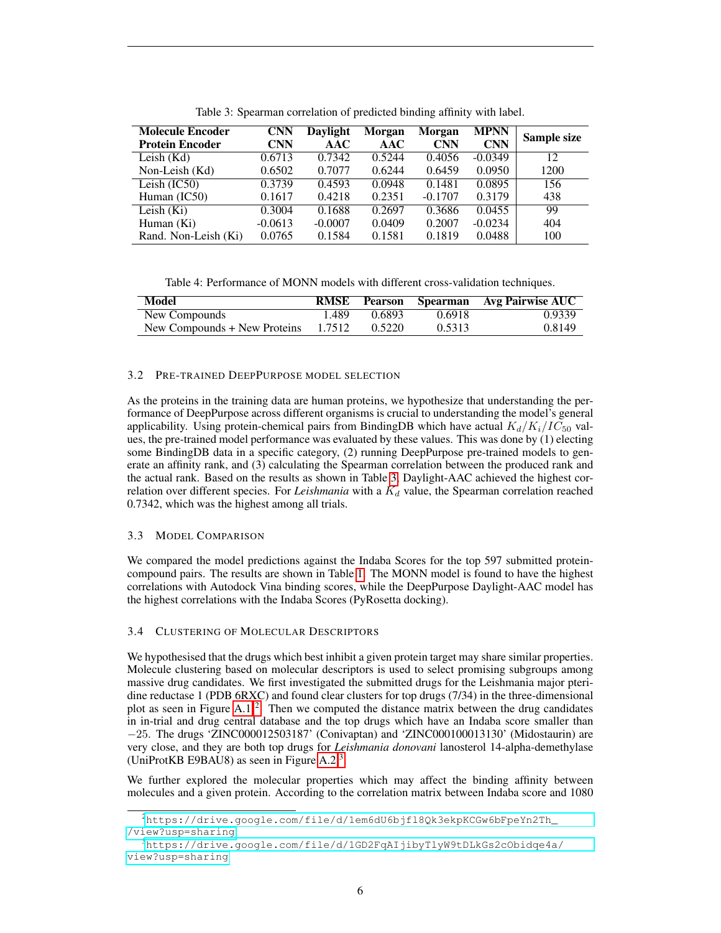| <b>Molecule Encoder</b><br><b>Protein Encoder</b> | CNN<br>CNN | Daylight<br>AAC | Morgan<br>AAC | Morgan<br><b>CNN</b> | <b>MPNN</b><br><b>CNN</b> | Sample size |
|---------------------------------------------------|------------|-----------------|---------------|----------------------|---------------------------|-------------|
| Leish $(Kd)$                                      | 0.6713     | 0.7342          | 0.5244        | 0.4056               | $-0.0349$                 | 12          |
| Non-Leish (Kd)                                    | 0.6502     | 0.7077          | 0.6244        | 0.6459               | 0.0950                    | 1200        |
| Leish $(IC50)$                                    | 0.3739     | 0.4593          | 0.0948        | 0.1481               | 0.0895                    | 156         |
| Human $(IC50)$                                    | 0.1617     | 0.4218          | 0.2351        | $-0.1707$            | 0.3179                    | 438         |
| Leish $(Ki)$                                      | 0.3004     | 0.1688          | 0.2697        | 0.3686               | 0.0455                    | 99          |
| Human (Ki)                                        | $-0.0613$  | $-0.0007$       | 0.0409        | 0.2007               | $-0.0234$                 | 404         |
| Rand. Non-Leish (Ki)                              | 0.0765     | 0.1584          | 0.1581        | 0.1819               | 0.0488                    | 100         |

<span id="page-5-1"></span>Table 3: Spearman correlation of predicted binding affinity with label.

<span id="page-5-0"></span>Table 4: Performance of MONN models with different cross-validation techniques.

| Model                        | <b>RMSE</b> | Pearson |        | Spearman Avg Pairwise AUC |
|------------------------------|-------------|---------|--------|---------------------------|
| New Compounds                | 1.489       | 0.6893  | 0.6918 | 0.9339                    |
| New Compounds + New Proteins | 1.7512      | 0.5220  | 0.5313 | 0.8149                    |

#### 3.2 PRE-TRAINED DEEPPURPOSE MODEL SELECTION

As the proteins in the training data are human proteins, we hypothesize that understanding the performance of DeepPurpose across different organisms is crucial to understanding the model's general applicability. Using protein-chemical pairs from BindingDB which have actual  $K_d/K_i/IC_{50}$  values, the pre-trained model performance was evaluated by these values. This was done by (1) electing some BindingDB data in a specific category, (2) running DeepPurpose pre-trained models to generate an affinity rank, and (3) calculating the Spearman correlation between the produced rank and the actual rank. Based on the results as shown in Table [3,](#page-5-1) Daylight-AAC achieved the highest correlation over different species. For *Leishmania* with a  $K_d$  value, the Spearman correlation reached 0.7342, which was the highest among all trials.

#### 3.3 MODEL COMPARISON

We compared the model predictions against the Indaba Scores for the top 597 submitted proteincompound pairs. The results are shown in Table [1.](#page-3-0) The MONN model is found to have the highest correlations with Autodock Vina binding scores, while the DeepPurpose Daylight-AAC model has the highest correlations with the Indaba Scores (PyRosetta docking).

#### 3.4 CLUSTERING OF MOLECULAR DESCRIPTORS

We hypothesised that the drugs which best inhibit a given protein target may share similar properties. Molecule clustering based on molecular descriptors is used to select promising subgroups among massive drug candidates. We first investigated the submitted drugs for the Leishmania major pteridine reductase 1 (PDB 6RXC) and found clear clusters for top drugs (7/34) in the three-dimensional plot as seen in Figure [A.1](#page-4-0)<sup>[2](#page-5-2)</sup>. Then we computed the distance matrix between the drug candidates in in-trial and drug central database and the top drugs which have an Indaba score smaller than −25. The drugs 'ZINC000012503187' (Conivaptan) and 'ZINC000100013130' (Midostaurin) are very close, and they are both top drugs for *Leishmania donovani* lanosterol 14-alpha-demethylase (UniProtKB E9BAU8) as seen in Figure [A.2](#page-9-0)<sup>[3](#page-5-3)</sup>.

We further explored the molecular properties which may affect the binding affinity between molecules and a given protein. According to the correlation matrix between Indaba score and 1080

<span id="page-5-2"></span> $^{2}$ [https://drive.google.com/file/d/1em6dU6bjfl8Qk3ekpKCGw6bFpeYn2Th\\_](https://drive.google.com/file/d/1em6dU6bjfl8Qk3ekpKCGw6bFpeYn2Th_/view?usp=sharing) [/view?usp=sharing](https://drive.google.com/file/d/1em6dU6bjfl8Qk3ekpKCGw6bFpeYn2Th_/view?usp=sharing)

<span id="page-5-3"></span><sup>3</sup>[https://drive.google.com/file/d/1GD2FqAIjibyTlyW9tDLkGs2cObidqe4a/](https://drive.google.com/file/d/1GD2FqAIjibyTlyW9tDLkGs2cObidqe4a/view?usp=sharing) [view?usp=sharing](https://drive.google.com/file/d/1GD2FqAIjibyTlyW9tDLkGs2cObidqe4a/view?usp=sharing)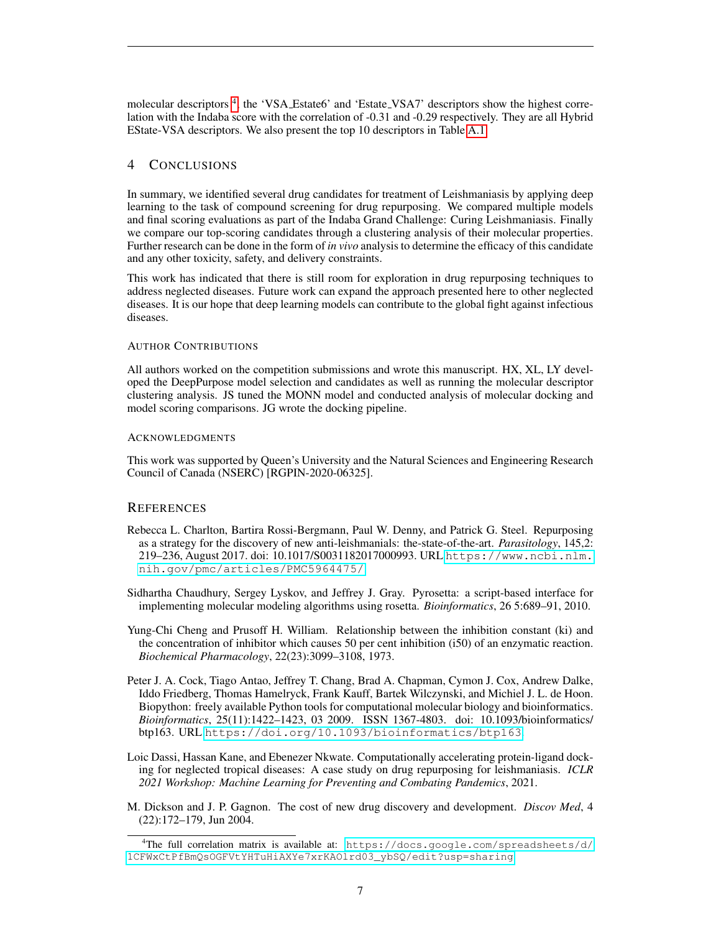molecular descriptors<sup>[4](#page-6-6)</sup>, the 'VSA\_Estate6' and 'Estate\_VSA7' descriptors show the highest correlation with the Indaba score with the correlation of -0.31 and -0.29 respectively. They are all Hybrid EState-VSA descriptors. We also present the top 10 descriptors in Table [A.1.](#page-3-0)

## 4 CONCLUSIONS

In summary, we identified several drug candidates for treatment of Leishmaniasis by applying deep learning to the task of compound screening for drug repurposing. We compared multiple models and final scoring evaluations as part of the Indaba Grand Challenge: Curing Leishmaniasis. Finally we compare our top-scoring candidates through a clustering analysis of their molecular properties. Further research can be done in the form of *in vivo* analysis to determine the efficacy of this candidate and any other toxicity, safety, and delivery constraints.

This work has indicated that there is still room for exploration in drug repurposing techniques to address neglected diseases. Future work can expand the approach presented here to other neglected diseases. It is our hope that deep learning models can contribute to the global fight against infectious diseases.

#### AUTHOR CONTRIBUTIONS

All authors worked on the competition submissions and wrote this manuscript. HX, XL, LY developed the DeepPurpose model selection and candidates as well as running the molecular descriptor clustering analysis. JS tuned the MONN model and conducted analysis of molecular docking and model scoring comparisons. JG wrote the docking pipeline.

#### ACKNOWLEDGMENTS

This work was supported by Queen's University and the Natural Sciences and Engineering Research Council of Canada (NSERC) [RGPIN-2020-06325].

#### **REFERENCES**

- <span id="page-6-0"></span>Rebecca L. Charlton, Bartira Rossi-Bergmann, Paul W. Denny, and Patrick G. Steel. Repurposing as a strategy for the discovery of new anti-leishmanials: the-state-of-the-art. *Parasitology*, 145,2: 219–236, August 2017. doi: 10.1017/S0031182017000993. URL [https://www.ncbi.nlm.](https://www.ncbi.nlm.nih.gov/pmc/articles/PMC5964475/) [nih.gov/pmc/articles/PMC5964475/](https://www.ncbi.nlm.nih.gov/pmc/articles/PMC5964475/).
- <span id="page-6-2"></span>Sidhartha Chaudhury, Sergey Lyskov, and Jeffrey J. Gray. Pyrosetta: a script-based interface for implementing molecular modeling algorithms using rosetta. *Bioinformatics*, 26 5:689–91, 2010.
- <span id="page-6-4"></span>Yung-Chi Cheng and Prusoff H. William. Relationship between the inhibition constant (ki) and the concentration of inhibitor which causes 50 per cent inhibition (i50) of an enzymatic reaction. *Biochemical Pharmacology*, 22(23):3099–3108, 1973.
- <span id="page-6-5"></span>Peter J. A. Cock, Tiago Antao, Jeffrey T. Chang, Brad A. Chapman, Cymon J. Cox, Andrew Dalke, Iddo Friedberg, Thomas Hamelryck, Frank Kauff, Bartek Wilczynski, and Michiel J. L. de Hoon. Biopython: freely available Python tools for computational molecular biology and bioinformatics. *Bioinformatics*, 25(11):1422–1423, 03 2009. ISSN 1367-4803. doi: 10.1093/bioinformatics/ btp163. URL <https://doi.org/10.1093/bioinformatics/btp163>.
- <span id="page-6-3"></span>Loic Dassi, Hassan Kane, and Ebenezer Nkwate. Computationally accelerating protein-ligand docking for neglected tropical diseases: A case study on drug repurposing for leishmaniasis. *ICLR 2021 Workshop: Machine Learning for Preventing and Combating Pandemics*, 2021.
- <span id="page-6-1"></span>M. Dickson and J. P. Gagnon. The cost of new drug discovery and development. *Discov Med*, 4 (22):172–179, Jun 2004.

<span id="page-6-6"></span><sup>4</sup>The full correlation matrix is available at: [https://docs.google.com/spreadsheets/d/](https://docs.google.com/spreadsheets/d/1CFWxCtPfBmQsOGFVtYHTuHiAXYe7xrKAOlrd03_ybSQ/edit?usp=sharing) [1CFWxCtPfBmQsOGFVtYHTuHiAXYe7xrKAOlrd03\\_ybSQ/edit?usp=sharing](https://docs.google.com/spreadsheets/d/1CFWxCtPfBmQsOGFVtYHTuHiAXYe7xrKAOlrd03_ybSQ/edit?usp=sharing)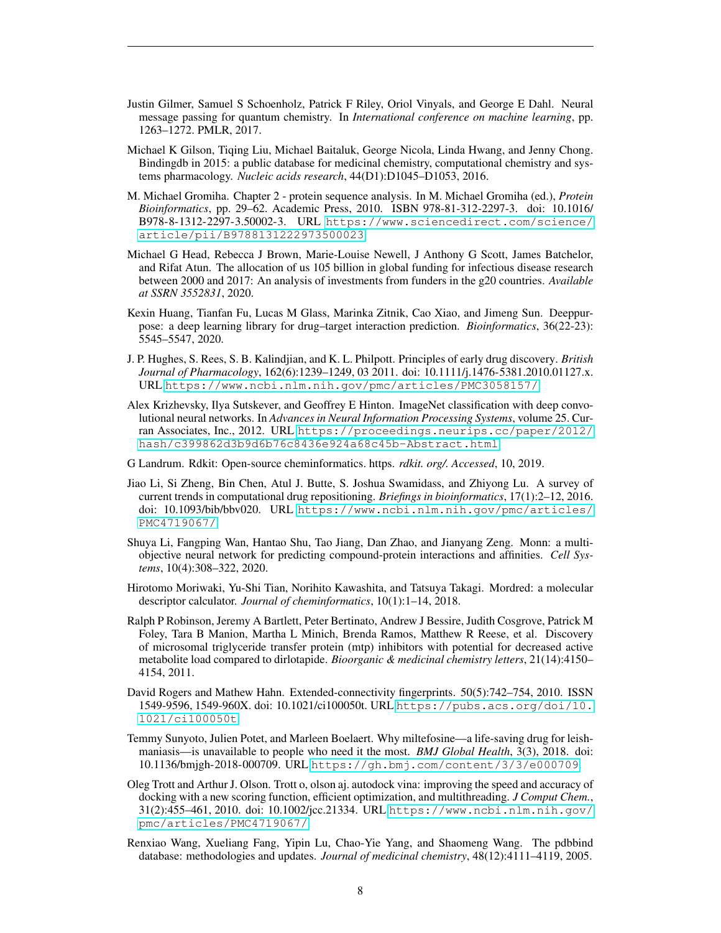- <span id="page-7-11"></span>Justin Gilmer, Samuel S Schoenholz, Patrick F Riley, Oriol Vinyals, and George E Dahl. Neural message passing for quantum chemistry. In *International conference on machine learning*, pp. 1263–1272. PMLR, 2017.
- <span id="page-7-7"></span>Michael K Gilson, Tiqing Liu, Michael Baitaluk, George Nicola, Linda Hwang, and Jenny Chong. Bindingdb in 2015: a public database for medicinal chemistry, computational chemistry and systems pharmacology. *Nucleic acids research*, 44(D1):D1045–D1053, 2016.
- <span id="page-7-12"></span>M. Michael Gromiha. Chapter 2 - protein sequence analysis. In M. Michael Gromiha (ed.), *Protein Bioinformatics*, pp. 29–62. Academic Press, 2010. ISBN 978-81-312-2297-3. doi: 10.1016/ B978-8-1312-2297-3.50002-3. URL [https://www.sciencedirect.com/science/](https://www.sciencedirect.com/science/article/pii/B9788131222973500023) [article/pii/B9788131222973500023](https://www.sciencedirect.com/science/article/pii/B9788131222973500023).
- <span id="page-7-0"></span>Michael G Head, Rebecca J Brown, Marie-Louise Newell, J Anthony G Scott, James Batchelor, and Rifat Atun. The allocation of us 105 billion in global funding for infectious disease research between 2000 and 2017: An analysis of investments from funders in the g20 countries. *Available at SSRN 3552831*, 2020.
- <span id="page-7-5"></span>Kexin Huang, Tianfan Fu, Lucas M Glass, Marinka Zitnik, Cao Xiao, and Jimeng Sun. Deeppurpose: a deep learning library for drug–target interaction prediction. *Bioinformatics*, 36(22-23): 5545–5547, 2020.
- <span id="page-7-3"></span>J. P. Hughes, S. Rees, S. B. Kalindjian, and K. L. Philpott. Principles of early drug discovery. *British Journal of Pharmacology*, 162(6):1239–1249, 03 2011. doi: 10.1111/j.1476-5381.2010.01127.x. URL <https://www.ncbi.nlm.nih.gov/pmc/articles/PMC3058157/>.
- <span id="page-7-9"></span>Alex Krizhevsky, Ilya Sutskever, and Geoffrey E Hinton. ImageNet classification with deep convolutional neural networks. In *Advances in Neural Information Processing Systems*, volume 25. Curran Associates, Inc., 2012. URL [https://proceedings.neurips.cc/paper/2012/](https://proceedings.neurips.cc/paper/2012/hash/c399862d3b9d6b76c8436e924a68c45b-Abstract.html) [hash/c399862d3b9d6b76c8436e924a68c45b-Abstract.html](https://proceedings.neurips.cc/paper/2012/hash/c399862d3b9d6b76c8436e924a68c45b-Abstract.html).
- <span id="page-7-14"></span>G Landrum. Rdkit: Open-source cheminformatics. https. *rdkit. org/. Accessed*, 10, 2019.
- <span id="page-7-1"></span>Jiao Li, Si Zheng, Bin Chen, Atul J. Butte, S. Joshua Swamidass, and Zhiyong Lu. A survey of current trends in computational drug repositioning. *Briefings in bioinformatics*, 17(1):2–12, 2016. doi: 10.1093/bib/bbv020. URL [https://www.ncbi.nlm.nih.gov/pmc/articles/](https://www.ncbi.nlm.nih.gov/pmc/articles/PMC4719067/) [PMC4719067/](https://www.ncbi.nlm.nih.gov/pmc/articles/PMC4719067/).
- <span id="page-7-4"></span>Shuya Li, Fangping Wan, Hantao Shu, Tao Jiang, Dan Zhao, and Jianyang Zeng. Monn: a multiobjective neural network for predicting compound-protein interactions and affinities. *Cell Systems*, 10(4):308–322, 2020.
- <span id="page-7-13"></span>Hirotomo Moriwaki, Yu-Shi Tian, Norihito Kawashita, and Tatsuya Takagi. Mordred: a molecular descriptor calculator. *Journal of cheminformatics*, 10(1):1–14, 2018.
- <span id="page-7-15"></span>Ralph P Robinson, Jeremy A Bartlett, Peter Bertinato, Andrew J Bessire, Judith Cosgrove, Patrick M Foley, Tara B Manion, Martha L Minich, Brenda Ramos, Matthew R Reese, et al. Discovery of microsomal triglyceride transfer protein (mtp) inhibitors with potential for decreased active metabolite load compared to dirlotapide. *Bioorganic & medicinal chemistry letters*, 21(14):4150– 4154, 2011.
- <span id="page-7-10"></span>David Rogers and Mathew Hahn. Extended-connectivity fingerprints. 50(5):742–754, 2010. ISSN 1549-9596, 1549-960X. doi: 10.1021/ci100050t. URL [https://pubs.acs.org/doi/10.](https://pubs.acs.org/doi/10.1021/ci100050t) [1021/ci100050t](https://pubs.acs.org/doi/10.1021/ci100050t).
- <span id="page-7-2"></span>Temmy Sunyoto, Julien Potet, and Marleen Boelaert. Why miltefosine—a life-saving drug for leishmaniasis—is unavailable to people who need it the most. *BMJ Global Health*, 3(3), 2018. doi: 10.1136/bmjgh-2018-000709. URL <https://gh.bmj.com/content/3/3/e000709>.
- <span id="page-7-8"></span>Oleg Trott and Arthur J. Olson. Trott o, olson aj. autodock vina: improving the speed and accuracy of docking with a new scoring function, efficient optimization, and multithreading. *J Comput Chem.*, 31(2):455–461, 2010. doi: 10.1002/jcc.21334. URL [https://www.ncbi.nlm.nih.gov/](https://www.ncbi.nlm.nih.gov/pmc/articles/PMC4719067/) [pmc/articles/PMC4719067/](https://www.ncbi.nlm.nih.gov/pmc/articles/PMC4719067/).
- <span id="page-7-6"></span>Renxiao Wang, Xueliang Fang, Yipin Lu, Chao-Yie Yang, and Shaomeng Wang. The pdbbind database: methodologies and updates. *Journal of medicinal chemistry*, 48(12):4111–4119, 2005.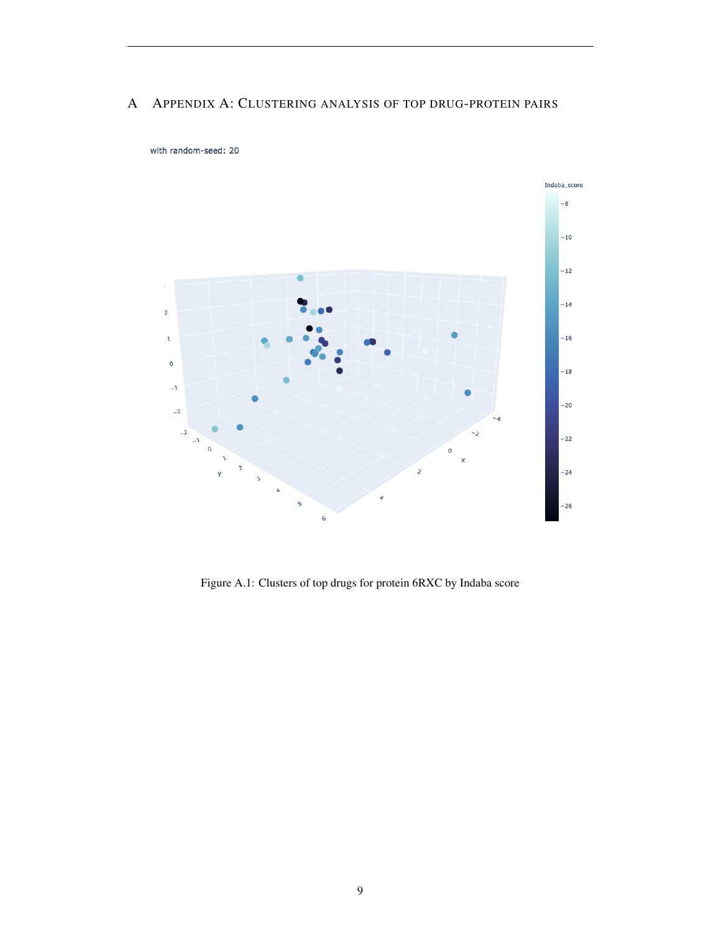## A APPENDIX A: CLUSTERING ANALYSIS OF TOP DRUG-PROTEIN PAIRS



with random-seed: 20

Figure A.1: Clusters of top drugs for protein 6RXC by Indaba score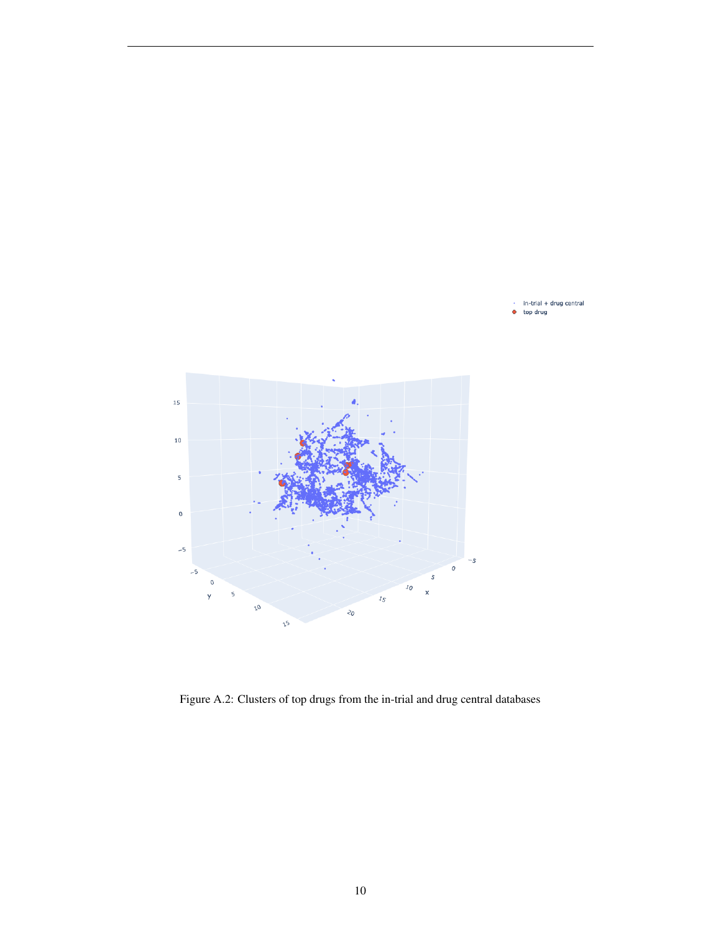

 $in-trial + drug central$ top drug  $\bullet$ 

<span id="page-9-0"></span>Figure A.2: Clusters of top drugs from the in-trial and drug central databases